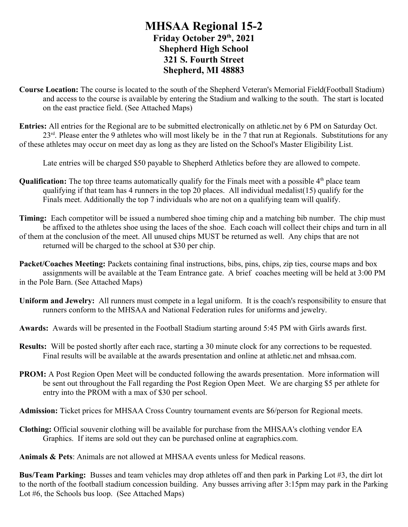## **MHSAA Regional 15-2 Friday October 29th, 2021 Shepherd High School 321 S. Fourth Street Shepherd, MI 48883**

**Course Location:** The course is located to the south of the Shepherd Veteran's Memorial Field(Football Stadium) and access to the course is available by entering the Stadium and walking to the south. The start is located on the east practice field. (See Attached Maps)

**Entries:** All entries for the Regional are to be submitted electronically on athletic.net by 6 PM on Saturday Oct. 23<sup>rd</sup>. Please enter the 9 athletes who will most likely be in the 7 that run at Regionals. Substitutions for any of these athletes may occur on meet day as long as they are listed on the School's Master Eligibility List.

Late entries will be charged \$50 payable to Shepherd Athletics before they are allowed to compete.

- **Qualification:** The top three teams automatically qualify for the Finals meet with a possible 4<sup>th</sup> place team qualifying if that team has 4 runners in the top 20 places. All individual medalist(15) qualify for the Finals meet. Additionally the top 7 individuals who are not on a qualifying team will qualify.
- **Timing:** Each competitor will be issued a numbered shoe timing chip and a matching bib number. The chip must be affixed to the athletes shoe using the laces of the shoe. Each coach will collect their chips and turn in all of them at the conclusion of the meet. All unused chips MUST be returned as well. Any chips that are not returned will be charged to the school at \$30 per chip.

**Packet/Coaches Meeting:** Packets containing final instructions, bibs, pins, chips, zip ties, course maps and box assignments will be available at the Team Entrance gate. A brief coaches meeting will be held at 3:00 PM in the Pole Barn. (See Attached Maps)

- **Uniform and Jewelry:** All runners must compete in a legal uniform. It is the coach's responsibility to ensure that runners conform to the MHSAA and National Federation rules for uniforms and jewelry.
- **Awards:** Awards will be presented in the Football Stadium starting around 5:45 PM with Girls awards first.
- **Results:** Will be posted shortly after each race, starting a 30 minute clock for any corrections to be requested. Final results will be available at the awards presentation and online at athletic.net and mhsaa.com.
- **PROM:** A Post Region Open Meet will be conducted following the awards presentation. More information will be sent out throughout the Fall regarding the Post Region Open Meet. We are charging \$5 per athlete for entry into the PROM with a max of \$30 per school.

**Admission:** Ticket prices for MHSAA Cross Country tournament events are \$6/person for Regional meets.

**Clothing:** Official souvenir clothing will be available for purchase from the MHSAA's clothing vendor EA Graphics. If items are sold out they can be purchased online at eagraphics.com.

**Animals & Pets**: Animals are not allowed at MHSAA events unless for Medical reasons.

**Bus/Team Parking:** Busses and team vehicles may drop athletes off and then park in Parking Lot #3, the dirt lot to the north of the football stadium concession building. Any busses arriving after 3:15pm may park in the Parking Lot #6, the Schools bus loop. (See Attached Maps)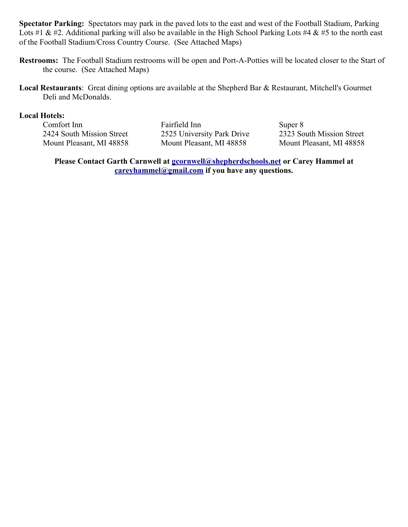**Spectator Parking:** Spectators may park in the paved lots to the east and west of the Football Stadium, Parking Lots #1 & #2. Additional parking will also be available in the High School Parking Lots #4 & #5 to the north east of the Football Stadium/Cross Country Course. (See Attached Maps)

- **Restrooms:** The Football Stadium restrooms will be open and Port-A-Potties will be located closer to the Start of the course. (See Attached Maps)
- **Local Restaurants**: Great dining options are available at the Shepherd Bar & Restaurant, Mitchell's Gourmet Deli and McDonalds.

## **Local Hotels:**

Comfort Inn Fairfield Inn Super 8 2424 South Mission Street 2525 University Park Drive 2323 South Mission Street Mount Pleasant, MI 48858 Mount Pleasant, MI 48858 Mount Pleasant, MI 48858

**Please Contact Garth Carnwell at [gcornwell@shepherdschools.net](mailto:gcornwell@shepherdschools.net) or Carey Hammel at [careyhammel@gmail.com](mailto:careyhammel@gmail.com) if you have any questions.**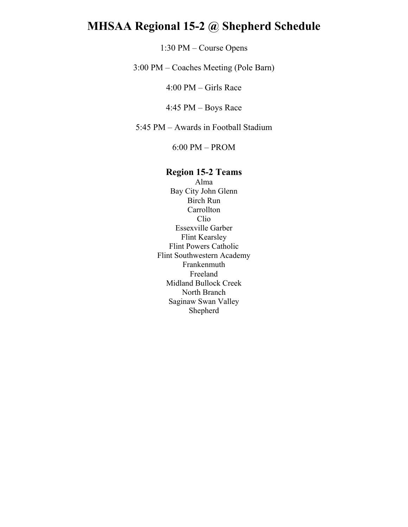## **MHSAA Regional 15-2 @ Shepherd Schedule**

1:30 PM – Course Opens

3:00 PM – Coaches Meeting (Pole Barn)

4:00 PM – Girls Race

4:45 PM – Boys Race

5:45 PM – Awards in Football Stadium

6:00 PM – PROM

## **Region 15-2 Teams**

Alma Bay City John Glenn Birch Run **Carrollton** Clio Essexville Garber Flint Kearsley Flint Powers Catholic Flint Southwestern Academy Frankenmuth Freeland Midland Bullock Creek North Branch Saginaw Swan Valley Shepherd